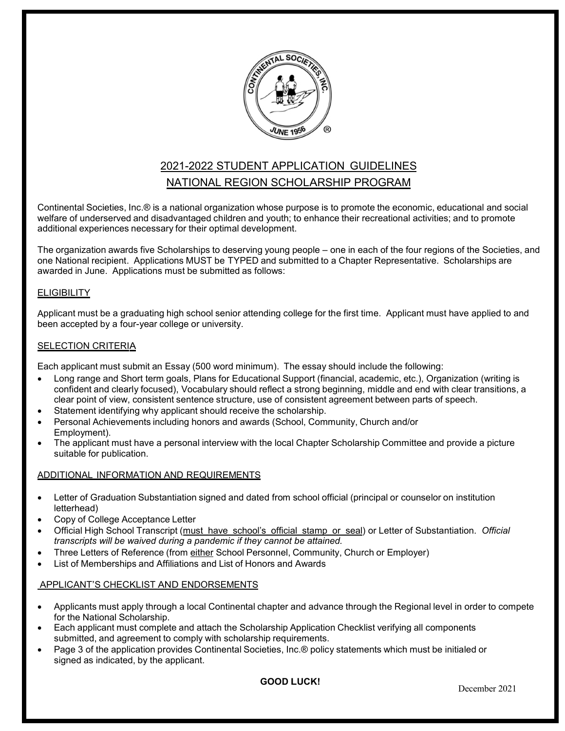

# 2021-2022 STUDENT APPLICATION GUIDELINES NATIONAL REGION SCHOLARSHIP PROGRAM

Continental Societies, Inc.® is a national organization whose purpose is to promote the economic, educational and social welfare of underserved and disadvantaged children and youth; to enhance their recreational activities; and to promote additional experiences necessary for their optimal development.

The organization awards five Scholarships to deserving young people – one in each of the four regions of the Societies, and one National recipient. Applications MUST be TYPED and submitted to a Chapter Representative. Scholarships are awarded in June. Applications must be submitted as follows:

#### **ELIGIBILITY**

Applicant must be a graduating high school senior attending college for the first time. Applicant must have applied to and been accepted by a four-year college or university.

#### SELECTION CRITERIA

Each applicant must submit an Essay (500 word minimum). The essay should include the following:

- Long range and Short term goals, Plans for Educational Support (financial, academic, etc.), Organization (writing is confident and clearly focused), Vocabulary should reflect a strong beginning, middle and end with clear transitions, a clear point of view, consistent sentence structure, use of consistent agreement between parts of speech.
- Statement identifying why applicant should receive the scholarship.
- Personal Achievements including honors and awards (School, Community, Church and/or Employment).
- The applicant must have a personal interview with the local Chapter Scholarship Committee and provide a picture suitable for publication.

#### ADDITIONAL INFORMATION AND REQUIREMENTS

- Letter of Graduation Substantiation signed and dated from school official (principal or counselor on institution letterhead)
- Copy of College Acceptance Letter
- Official High School Transcript (must have school's official stamp or seal) or Letter of Substantiation. *Official transcripts will be waived during a pandemic if they cannot be attained.*
- Three Letters of Reference (from either School Personnel, Community, Church or Employer)
- List of Memberships and Affiliations and List of Honors and Awards

#### APPLICANT'S CHECKLIST AND ENDORSEMENTS

- Applicants must apply through a local Continental chapter and advance through the Regional level in order to compete for the National Scholarship.
- Each applicant must complete and attach the Scholarship Application Checklist verifying all components submitted, and agreement to comply with scholarship requirements.
- Page 3 of the application provides Continental Societies, Inc.® policy statements which must be initialed or signed as indicated, by the applicant.

**GOOD LUCK!**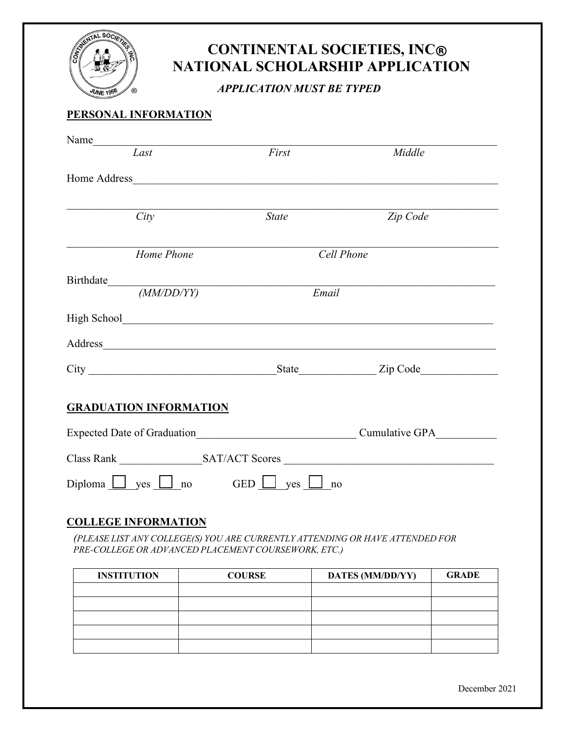

# **CONTINENTAL SOCIETIES, INC NATIONAL SCHOLARSHIP APPLICATION**

 *APPLICATION MUST BE TYPED* 

## **PERSONAL INFORMATION**

| Name                          |                                                                                                                                                                                                                                |            |  |  |  |
|-------------------------------|--------------------------------------------------------------------------------------------------------------------------------------------------------------------------------------------------------------------------------|------------|--|--|--|
| Last                          | First                                                                                                                                                                                                                          | Middle     |  |  |  |
|                               |                                                                                                                                                                                                                                |            |  |  |  |
| City                          | <b>State</b>                                                                                                                                                                                                                   | Zip Code   |  |  |  |
| Home Phone                    |                                                                                                                                                                                                                                | Cell Phone |  |  |  |
|                               | Email                                                                                                                                                                                                                          |            |  |  |  |
|                               |                                                                                                                                                                                                                                |            |  |  |  |
|                               | Address and the contract of the contract of the contract of the contract of the contract of the contract of the contract of the contract of the contract of the contract of the contract of the contract of the contract of th |            |  |  |  |
|                               |                                                                                                                                                                                                                                |            |  |  |  |
| <b>GRADUATION INFORMATION</b> |                                                                                                                                                                                                                                |            |  |  |  |
|                               | Expected Date of Graduation Cumulative GPA                                                                                                                                                                                     |            |  |  |  |
|                               |                                                                                                                                                                                                                                |            |  |  |  |
|                               | Diploma $\Box$ yes $\Box$ no GED $\Box$ yes $\Box$<br>no                                                                                                                                                                       |            |  |  |  |
|                               |                                                                                                                                                                                                                                |            |  |  |  |

## **COLLEGE INFORMATION**

*(PLEASE LIST ANY COLLEGE(S) YOU ARE CURRENTLY ATTENDING OR HAVE ATTENDED FOR PRE-COLLEGE OR ADVANCED PLACEMENT COURSEWORK, ETC.)*

| <b>INSTITUTION</b> | <b>COURSE</b> | <b>DATES (MM/DD/YY)</b> | <b>GRADE</b> |
|--------------------|---------------|-------------------------|--------------|
|                    |               |                         |              |
|                    |               |                         |              |
|                    |               |                         |              |
|                    |               |                         |              |
|                    |               |                         |              |

December 2021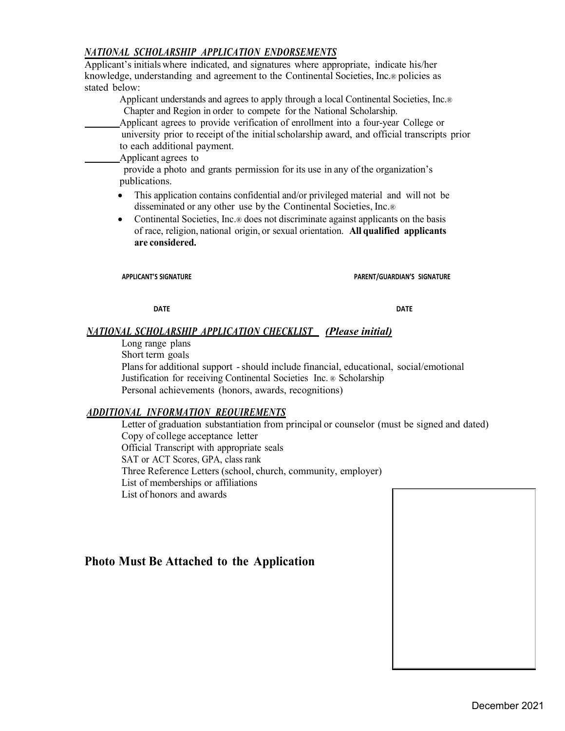## *NATIONAL SCHOLARSHIP APPLICATION ENDORSEMENTS*

Applicant's initialswhere indicated, and signatures where appropriate, indicate his/her knowledge, understanding and agreement to the Continental Societies, Inc.® policies as stated below:

Applicant understands and agrees to apply through a local Continental Societies, Inc.® Chapter and Region in order to compete for the National Scholarship.

Applicant agrees to provide verification of enrollment into a four-year College or university prior to receipt of the initialscholarship award, and official transcripts prior to each additional payment.

Applicant agrees to

provide a photo and grants permission for its use in any of the organization's publications.

- This application contains confidential and/or privileged material and will not be disseminated or any other use by the Continental Societies, Inc.®
- Continental Societies, Inc.<sup>®</sup> does not discriminate against applicants on the basis of race, religion, national origin, or sexual orientation. **All qualified applicants are considered.**

**APPLICANT'S SIGNATURE PARENT/GUARDIAN'S SIGNATURE**

**DATE DATE**

## *NATIONAL SCHOLARSHIP APPLICATION CHECKLIST (Please initial)*

Long range plans

Short term goals

Plansfor additional support - should include financial, educational, social/emotional Justification for receiving Continental Societies Inc. ® Scholarship Personal achievements (honors, awards, recognitions)

#### *ADDITIONAL INFORMATION REQUIREMENTS*

Letter of graduation substantiation from principal or counselor (must be signed and dated) Copy of college acceptance letter Official Transcript with appropriate seals SAT or ACT Scores, GPA, class rank Three Reference Letters (school, church, community, employer) List of memberships or affiliations List of honors and awards

## **Photo Must Be Attached to the Application**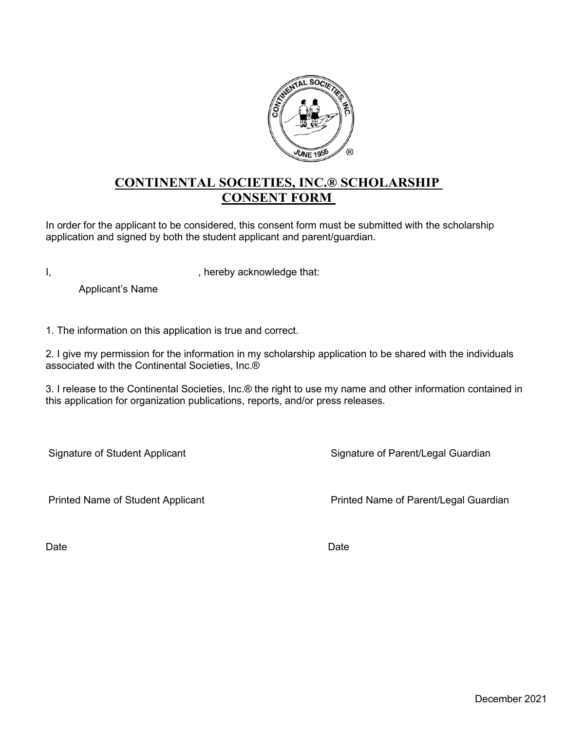

## **CONTINENTAL SOCIETIES, INC.® SCHOLARSHIP CONSENT FORM**

In order for the applicant to be considered, this consent form must be submitted with the scholarship application and signed by both the student applicant and parent/guardian.

I, thereby acknowledge that:

Applicant's Name

1. The information on this application is true and correct.

2. I give my permission for the information in my scholarship application to be shared with the individuals associated with the Continental Societies, Inc.®

3. I release to the Continental Societies, Inc.® the right to use my name and other information contained in this application for organization publications, reports, and/or press releases.

Signature of Student Applicant

Signature of Parent/Legal Guardian

Printed Name of Student Applicant

Printed Name of Parent/Legal Guardian

**Date** 

Date